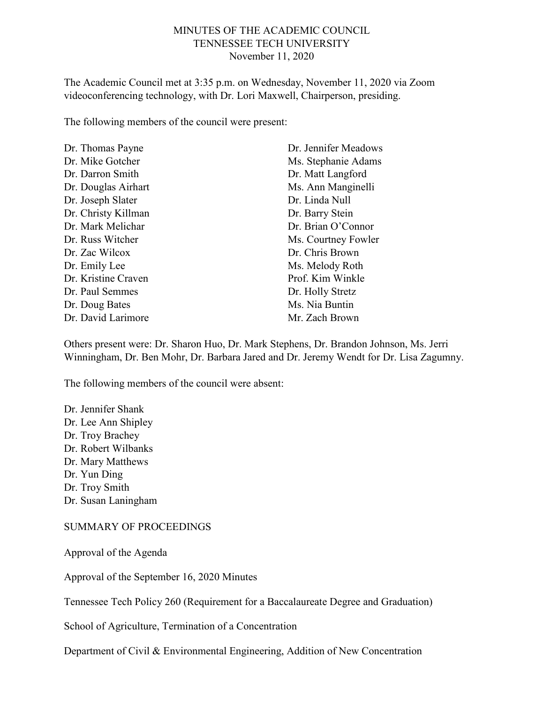#### MINUTES OF THE ACADEMIC COUNCIL TENNESSEE TECH UNIVERSITY November 11, 2020

The Academic Council met at 3:35 p.m. on Wednesday, November 11, 2020 via Zoom videoconferencing technology, with Dr. Lori Maxwell, Chairperson, presiding.

The following members of the council were present:

| Dr. Thomas Payne    | Dr. Jennifer Meadows |
|---------------------|----------------------|
| Dr. Mike Gotcher    | Ms. Stephanie Adams  |
| Dr. Darron Smith    | Dr. Matt Langford    |
| Dr. Douglas Airhart | Ms. Ann Manginelli   |
| Dr. Joseph Slater   | Dr. Linda Null       |
| Dr. Christy Killman | Dr. Barry Stein      |
| Dr. Mark Melichar   | Dr. Brian O'Connor   |
| Dr. Russ Witcher    | Ms. Courtney Fowler  |
| Dr. Zac Wilcox      | Dr. Chris Brown      |
| Dr. Emily Lee       | Ms. Melody Roth      |
| Dr. Kristine Craven | Prof. Kim Winkle     |
| Dr. Paul Semmes     | Dr. Holly Stretz     |
| Dr. Doug Bates      | Ms. Nia Buntin       |
| Dr. David Larimore  | Mr. Zach Brown       |

Others present were: Dr. Sharon Huo, Dr. Mark Stephens, Dr. Brandon Johnson, Ms. Jerri Winningham, Dr. Ben Mohr, Dr. Barbara Jared and Dr. Jeremy Wendt for Dr. Lisa Zagumny.

The following members of the council were absent:

Dr. Jennifer Shank Dr. Lee Ann Shipley Dr. Troy Brachey Dr. Robert Wilbanks Dr. Mary Matthews Dr. Yun Ding Dr. Troy Smith Dr. Susan Laningham

#### SUMMARY OF PROCEEDINGS

Approval of the Agenda

Approval of the September 16, 2020 Minutes

Tennessee Tech Policy 260 (Requirement for a Baccalaureate Degree and Graduation)

School of Agriculture, Termination of a Concentration

Department of Civil & Environmental Engineering, Addition of New Concentration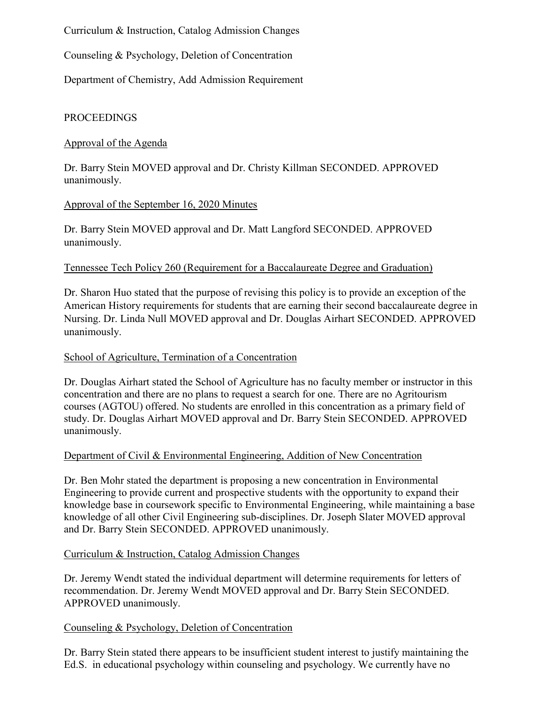Curriculum & Instruction, Catalog Admission Changes

Counseling & Psychology, Deletion of Concentration

Department of Chemistry, Add Admission Requirement

# PROCEEDINGS

### Approval of the Agenda

Dr. Barry Stein MOVED approval and Dr. Christy Killman SECONDED. APPROVED unanimously.

# Approval of the September 16, 2020 Minutes

Dr. Barry Stein MOVED approval and Dr. Matt Langford SECONDED. APPROVED unanimously.

# Tennessee Tech Policy 260 (Requirement for a Baccalaureate Degree and Graduation)

Dr. Sharon Huo stated that the purpose of revising this policy is to provide an exception of the American History requirements for students that are earning their second baccalaureate degree in Nursing. Dr. Linda Null MOVED approval and Dr. Douglas Airhart SECONDED. APPROVED unanimously.

### School of Agriculture, Termination of a Concentration

Dr. Douglas Airhart stated the School of Agriculture has no faculty member or instructor in this concentration and there are no plans to request a search for one. There are no Agritourism courses (AGTOU) offered. No students are enrolled in this concentration as a primary field of study. Dr. Douglas Airhart MOVED approval and Dr. Barry Stein SECONDED. APPROVED unanimously.

#### Department of Civil & Environmental Engineering, Addition of New Concentration

Dr. Ben Mohr stated the department is proposing a new concentration in Environmental Engineering to provide current and prospective students with the opportunity to expand their knowledge base in coursework specific to Environmental Engineering, while maintaining a base knowledge of all other Civil Engineering sub-disciplines. Dr. Joseph Slater MOVED approval and Dr. Barry Stein SECONDED. APPROVED unanimously.

#### Curriculum & Instruction, Catalog Admission Changes

Dr. Jeremy Wendt stated the individual department will determine requirements for letters of recommendation. Dr. Jeremy Wendt MOVED approval and Dr. Barry Stein SECONDED. APPROVED unanimously.

# Counseling & Psychology, Deletion of Concentration

Dr. Barry Stein stated there appears to be insufficient student interest to justify maintaining the Ed.S. in educational psychology within counseling and psychology. We currently have no